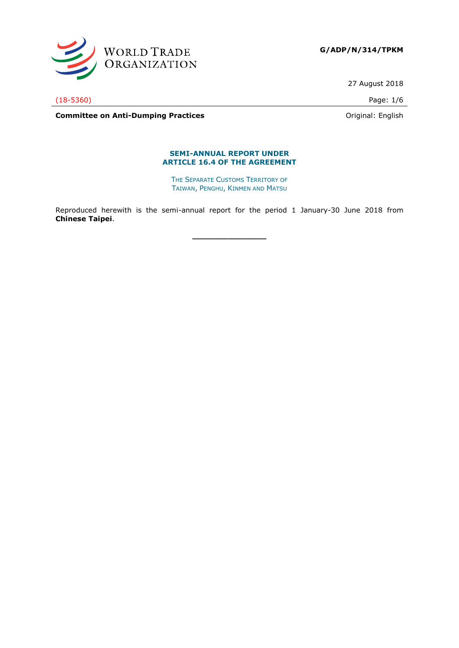

**G/ADP/N/314/TPKM**

27 August 2018

(18-5360) Page: 1/6

**Committee on Anti-Dumping Practices Committee on Anti-Dumping Practices Committee on Anti-Dumping Practices** 

#### **SEMI-ANNUAL REPORT UNDER ARTICLE 16.4 OF THE AGREEMENT**

THE SEPARATE CUSTOMS TERRITORY OF TAIWAN, PENGHU, KINMEN AND MATSU

Reproduced herewith is the semi-annual report for the period 1 January-30 June 2018 from **Chinese Taipei**.

**\_\_\_\_\_\_\_\_\_\_\_\_\_\_\_**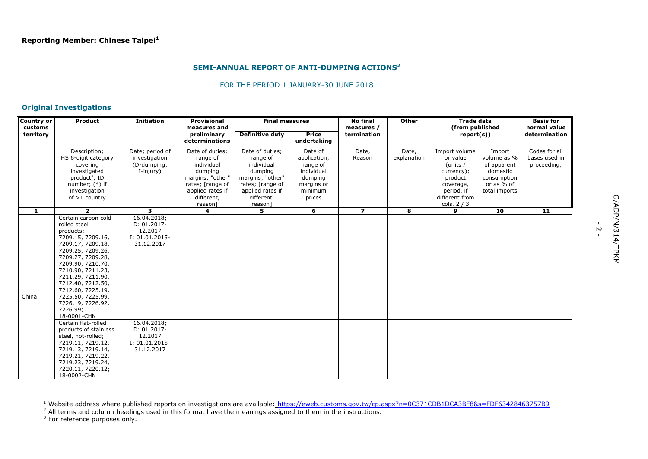#### **SEMI-ANNUAL REPORT OF ANTI-DUMPING ACTIONS<sup>2</sup>**

#### FOR THE PERIOD 1 JANUARY-30 JUNE 2018

## **Original Investigations**

| <b>Country or</b><br>customs | Product                                                                                                                                                                                                                                                                                                                                                                                                        | <b>Initiation</b>                                                                                                                          | <b>Provisional</b><br><b>Final measures</b><br>measures and                                                                               |                                                                                                                                           |                                                                                                 | <b>No final</b><br>measures / | <b>Other</b>         | <b>Trade data</b><br>(from published                                                                                       |                                                                                                | <b>Basis for</b><br>normal value              |
|------------------------------|----------------------------------------------------------------------------------------------------------------------------------------------------------------------------------------------------------------------------------------------------------------------------------------------------------------------------------------------------------------------------------------------------------------|--------------------------------------------------------------------------------------------------------------------------------------------|-------------------------------------------------------------------------------------------------------------------------------------------|-------------------------------------------------------------------------------------------------------------------------------------------|-------------------------------------------------------------------------------------------------|-------------------------------|----------------------|----------------------------------------------------------------------------------------------------------------------------|------------------------------------------------------------------------------------------------|-----------------------------------------------|
| territory                    |                                                                                                                                                                                                                                                                                                                                                                                                                |                                                                                                                                            | preliminary<br>determinations                                                                                                             | Definitive duty                                                                                                                           | Price<br>undertaking                                                                            | termination                   |                      | report(s))                                                                                                                 |                                                                                                | determination                                 |
|                              | Description;<br>HS 6-digit category<br>covering<br>investigated<br>product <sup>3</sup> ; ID<br>number; $(*)$ if<br>investigation<br>of $>1$ country                                                                                                                                                                                                                                                           | Date; period of<br>investigation<br>(D-dumping;<br>I-injury)                                                                               | Date of duties;<br>range of<br>individual<br>dumping<br>margins; "other"<br>rates; [range of<br>applied rates if<br>different,<br>reason] | Date of duties;<br>range of<br>individual<br>dumping<br>margins; "other"<br>rates; [range of<br>applied rates if<br>different,<br>reason] | Date of<br>application;<br>range of<br>individual<br>dumping<br>margins or<br>minimum<br>prices | Date,<br>Reason               | Date,<br>explanation | Import volume<br>or value<br>(units /<br>currency);<br>product<br>coverage,<br>period, if<br>different from<br>cols. $2/3$ | Import<br>volume as %<br>of apparent<br>domestic<br>consumption<br>or as % of<br>total imports | Codes for all<br>bases used in<br>proceeding; |
| 1                            | $\overline{2}$                                                                                                                                                                                                                                                                                                                                                                                                 | 3                                                                                                                                          | $\overline{\mathbf{4}}$                                                                                                                   | 5.                                                                                                                                        | 6                                                                                               | $\overline{ }$                | 8                    | 9                                                                                                                          | 10                                                                                             | $\overline{11}$                               |
| China                        | Certain carbon cold-<br>rolled steel<br>products;<br>7209.15, 7209.16,<br>7209.17, 7209.18,<br>7209.25, 7209.26,<br>7209.27, 7209.28,<br>7209.90, 7210.70,<br>7210.90, 7211.23,<br>7211.29, 7211.90,<br>7212.40, 7212.50,<br>7212.60, 7225.19,<br>7225.50, 7225.99,<br>7226.19, 7226.92,<br>7226.99;<br>18-0001-CHN<br>Certain flat-rolled<br>products of stainless<br>steel, hot-rolled;<br>7219.11, 7219.12, | 16.04.2018;<br>$D: 01.2017 -$<br>12.2017<br>$I: 01.01.2015-$<br>31.12.2017<br>16.04.2018;<br>$D: 01.2017 -$<br>12.2017<br>$I: 01.01.2015-$ |                                                                                                                                           |                                                                                                                                           |                                                                                                 |                               |                      |                                                                                                                            |                                                                                                |                                               |
|                              | 7219.13, 7219.14,<br>7219.21, 7219.22,<br>7219.23, 7219.24,<br>7220.11, 7220.12;<br>18-0002-CHN                                                                                                                                                                                                                                                                                                                | 31.12.2017                                                                                                                                 |                                                                                                                                           |                                                                                                                                           |                                                                                                 |                               |                      |                                                                                                                            |                                                                                                |                                               |

<sup>&</sup>lt;sup>1</sup> Website address where published reports on investigations are available: <https://eweb.customs.gov.tw/cp.aspx?n=0C371CDB1DCA3BF8&s=FDF63428463757B9>

 $^2$  All terms and column headings used in this format have the meanings assigned to them in the instructions.<br><sup>3</sup> For reference purposes only.

ł

ب<br>-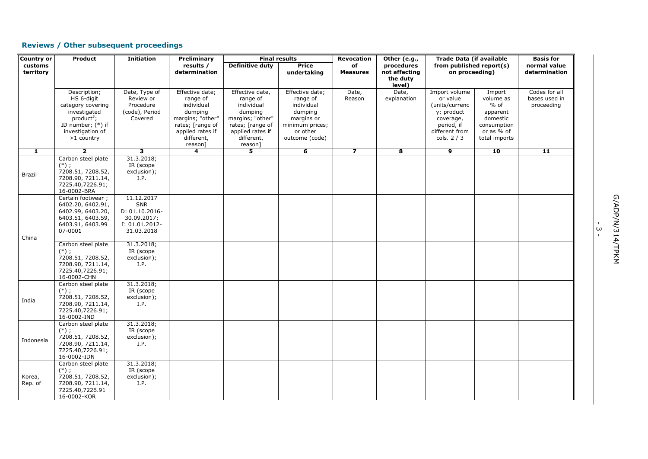# **Reviews / Other subsequent proceedings**

| Country or           | <b>Product</b>                                                                                                                            | <b>Initiation</b>                                                                  | Preliminary                                                                                                                               | <b>Final results</b>                                                                                                                      |                                                                                                                     | <b>Revocation</b>     | Other (e.g.,                                      | <b>Trade Data (if available</b><br>from published report(s)<br>on proceeding)                                         |                                                                                                     | <b>Basis for</b>                             |  |
|----------------------|-------------------------------------------------------------------------------------------------------------------------------------------|------------------------------------------------------------------------------------|-------------------------------------------------------------------------------------------------------------------------------------------|-------------------------------------------------------------------------------------------------------------------------------------------|---------------------------------------------------------------------------------------------------------------------|-----------------------|---------------------------------------------------|-----------------------------------------------------------------------------------------------------------------------|-----------------------------------------------------------------------------------------------------|----------------------------------------------|--|
| customs<br>territory |                                                                                                                                           |                                                                                    | results /<br>determination                                                                                                                | Definitive duty                                                                                                                           | <b>Price</b><br>undertaking                                                                                         | of<br><b>Measures</b> | procedures<br>not affecting<br>the duty<br>level) |                                                                                                                       |                                                                                                     | normal value<br>determination                |  |
|                      | Description;<br>HS 6-digit<br>category covering<br>investigated<br>$product^3$ ;<br>ID number; (*) if<br>investigation of<br>$>1$ country | Date, Type of<br>Review or<br>Procedure<br>(code), Period<br>Covered               | Effective date;<br>range of<br>individual<br>dumping<br>margins; "other"<br>rates; [range of<br>applied rates if<br>different,<br>reason] | Effective date,<br>range of<br>individual<br>dumping<br>margins; "other"<br>rates; [range of<br>applied rates if<br>different,<br>reason] | Effective date;<br>range of<br>individual<br>dumping<br>margins or<br>minimum prices;<br>or other<br>outcome (code) | Date,<br>Reason       | Date,<br>explanation                              | Import volume<br>or value<br>(units/currenc<br>y; product<br>coverage,<br>period, if<br>different from<br>cols. $2/3$ | Import<br>volume as<br>$%$ of<br>apparent<br>domestic<br>consumption<br>or as % of<br>total imports | Codes for all<br>bases used in<br>proceeding |  |
| $\mathbf{1}$         | $\overline{2}$                                                                                                                            | 3                                                                                  | 4                                                                                                                                         | 5                                                                                                                                         | 6                                                                                                                   | $\overline{z}$        | 8                                                 | 9                                                                                                                     | 10                                                                                                  | $\overline{11}$                              |  |
| Brazil               | Carbon steel plate<br>$(*)$ ;<br>7208.51, 7208.52,<br>7208.90, 7211.14,<br>7225.40,7226.91;<br>16-0002-BRA                                | 31.3.2018;<br>IR (scope<br>exclusion);<br>I.P.                                     |                                                                                                                                           |                                                                                                                                           |                                                                                                                     |                       |                                                   |                                                                                                                       |                                                                                                     |                                              |  |
| China                | Certain footwear;<br>6402.20, 6402.91,<br>6402.99, 6403.20,<br>6403.51, 6403.59,<br>6403.91, 6403.99<br>07-0001                           | 11.12.2017<br>SNR<br>D: 01.10.2016-<br>30.09.2017;<br>I: 01.01.2012-<br>31.03.2018 |                                                                                                                                           |                                                                                                                                           |                                                                                                                     |                       |                                                   |                                                                                                                       |                                                                                                     |                                              |  |
|                      | Carbon steel plate<br>$(*)$ ;<br>7208.51, 7208.52,<br>7208.90, 7211.14,<br>7225.40,7226.91;<br>16-0002-CHN                                | 31.3.2018;<br>IR (scope<br>exclusion);<br>I.P.                                     |                                                                                                                                           |                                                                                                                                           |                                                                                                                     |                       |                                                   |                                                                                                                       |                                                                                                     |                                              |  |
| India                | Carbon steel plate<br>$(*)$ ;<br>7208.51, 7208.52,<br>7208.90, 7211.14,<br>7225.40,7226.91;<br>16-0002-IND                                | 31.3.2018;<br>IR (scope<br>exclusion);<br>I.P.                                     |                                                                                                                                           |                                                                                                                                           |                                                                                                                     |                       |                                                   |                                                                                                                       |                                                                                                     |                                              |  |
| Indonesia            | Carbon steel plate<br>$(*)$ ;<br>7208.51, 7208.52,<br>7208.90, 7211.14,<br>7225.40,7226.91;<br>16-0002-IDN                                | 31.3.2018;<br>IR (scope<br>exclusion);<br>I.P.                                     |                                                                                                                                           |                                                                                                                                           |                                                                                                                     |                       |                                                   |                                                                                                                       |                                                                                                     |                                              |  |
| Korea,<br>Rep. of    | Carbon steel plate<br>$(*)$ ;<br>7208.51, 7208.52,<br>7208.90, 7211.14,<br>7225.40,7226.91<br>16-0002-KOR                                 | 31.3.2018;<br>IR (scope<br>exclusion);<br>I.P.                                     |                                                                                                                                           |                                                                                                                                           |                                                                                                                     |                       |                                                   |                                                                                                                       |                                                                                                     |                                              |  |

.<br>س<br>ت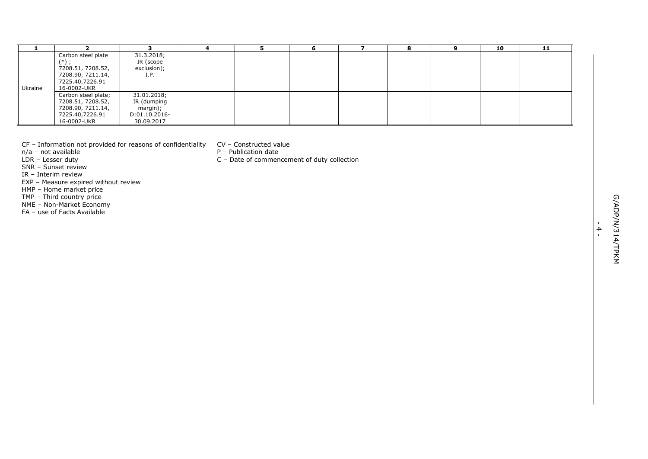| Carbon steel plate<br>31.3.2018;<br>$(*)$ ;<br>IR (scope<br>7208.51, 7208.52,<br>exclusion);<br>7208.90, 7211.14,<br>I.P.<br>7225.40,7226.91<br>Ukraine<br>16-0002-UKR<br>31.01.2018;<br>Carbon steel plate;<br>7208.51, 7208.52,<br>IR (dumping<br>7208.90, 7211.14,<br>margin);<br>7225.40,7226.91<br>D:01.10.2016-<br>16-0002-UKR<br>30.09.2017<br>CF - Information not provided for reasons of confidentiality<br>CV - Constructed value<br>n/a - not available<br>P - Publication date<br>C - Date of commencement of duty collection<br>LDR - Lesser duty<br>SNR - Sunset review<br>IR - Interim review<br>EXP - Measure expired without review<br>HMP - Home market price<br>TMP - Third country price<br>NME - Non-Market Economy<br>FA - use of Facts Available | 1 | $\overline{2}$ | 3 | $\overline{4}$ | 5 | 6 | $\overline{ }$ | 8 | 9 | 10 | 11 |  |
|--------------------------------------------------------------------------------------------------------------------------------------------------------------------------------------------------------------------------------------------------------------------------------------------------------------------------------------------------------------------------------------------------------------------------------------------------------------------------------------------------------------------------------------------------------------------------------------------------------------------------------------------------------------------------------------------------------------------------------------------------------------------------|---|----------------|---|----------------|---|---|----------------|---|---|----|----|--|
|                                                                                                                                                                                                                                                                                                                                                                                                                                                                                                                                                                                                                                                                                                                                                                          |   |                |   |                |   |   |                |   |   |    |    |  |
|                                                                                                                                                                                                                                                                                                                                                                                                                                                                                                                                                                                                                                                                                                                                                                          |   |                |   |                |   |   |                |   |   |    |    |  |
|                                                                                                                                                                                                                                                                                                                                                                                                                                                                                                                                                                                                                                                                                                                                                                          |   |                |   |                |   |   |                |   |   |    |    |  |
|                                                                                                                                                                                                                                                                                                                                                                                                                                                                                                                                                                                                                                                                                                                                                                          |   |                |   |                |   |   |                |   |   |    |    |  |
|                                                                                                                                                                                                                                                                                                                                                                                                                                                                                                                                                                                                                                                                                                                                                                          |   |                |   |                |   |   |                |   |   |    |    |  |
|                                                                                                                                                                                                                                                                                                                                                                                                                                                                                                                                                                                                                                                                                                                                                                          |   |                |   |                |   |   |                |   |   |    |    |  |
|                                                                                                                                                                                                                                                                                                                                                                                                                                                                                                                                                                                                                                                                                                                                                                          |   |                |   |                |   |   |                |   |   |    |    |  |
| $\blacktriangle$<br>$\mathbf{L}$                                                                                                                                                                                                                                                                                                                                                                                                                                                                                                                                                                                                                                                                                                                                         |   |                |   |                |   |   |                |   |   |    |    |  |
|                                                                                                                                                                                                                                                                                                                                                                                                                                                                                                                                                                                                                                                                                                                                                                          |   |                |   |                |   |   |                |   |   |    |    |  |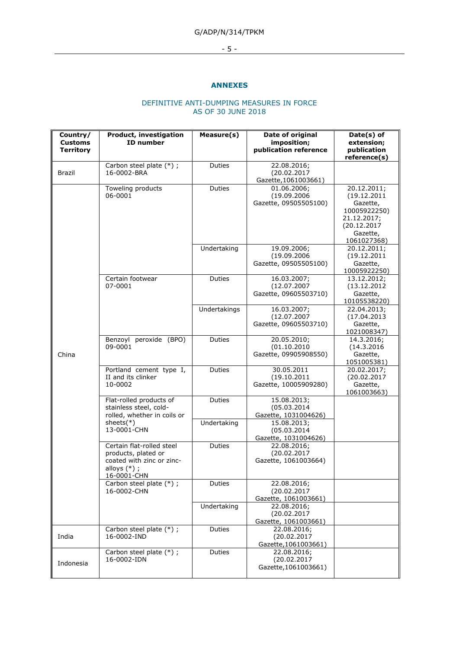# G/ADP/N/314/TPKM

# - 5 -

#### **ANNEXES**

## DEFINITIVE ANTI-DUMPING MEASURES IN FORCE AS OF 30 JUNE 2018

| Country/<br><b>Customs</b><br><b>Territory</b> | Product, investigation<br><b>ID</b> number                                                                     | Measure(s)    | Date of original<br>imposition;<br>publication reference | Date(s) of<br>extension;<br>publication<br>reference(s)                                                          |
|------------------------------------------------|----------------------------------------------------------------------------------------------------------------|---------------|----------------------------------------------------------|------------------------------------------------------------------------------------------------------------------|
| <b>Brazil</b>                                  | Carbon steel plate (*) ;<br>16-0002-BRA                                                                        | Duties        | 22.08.2016;<br>(20.02.2017<br>Gazette, 1061003661)       |                                                                                                                  |
|                                                | Toweling products<br>06-0001                                                                                   | Duties        | 01.06.2006;<br>(19.09.2006<br>Gazette, 09505505100)      | 20.12.2011;<br>(19.12.2011)<br>Gazette,<br>10005922250)<br>21.12.2017;<br>(20.12.2017<br>Gazette,<br>1061027368) |
|                                                |                                                                                                                | Undertaking   | 19.09.2006;<br>(19.09.2006<br>Gazette, 09505505100)      | 20.12.2011;<br>(19.12.2011<br>Gazette,<br>10005922250)                                                           |
|                                                | Certain footwear<br>07-0001                                                                                    | Duties        | 16.03.2007;<br>(12.07.2007<br>Gazette, 09605503710)      | 13.12.2012;<br>(13.12.2012)<br>Gazette,<br>10105538220)                                                          |
| China                                          |                                                                                                                | Undertakings  | 16.03.2007;<br>(12.07.2007<br>Gazette, 09605503710)      | 22.04.2013;<br>(17.04.2013<br>Gazette,<br>1021008347)                                                            |
|                                                | Benzoyl peroxide (BPO)<br>09-0001                                                                              | Duties        | 20.05.2010;<br>(01.10.2010<br>Gazette, 09905908550)      | 14.3.2016;<br>(14.3.2016<br>Gazette,<br>1051005381)                                                              |
|                                                | Portland cement type I,<br>II and its clinker<br>10-0002                                                       | Duties        | 30.05.2011<br>(19.10.2011<br>Gazette, 10005909280)       | 20.02.2017;<br>(20.02.2017<br>Gazette,<br>1061003663)                                                            |
|                                                | Flat-rolled products of<br>stainless steel, cold-<br>rolled, whether in coils or                               | <b>Duties</b> | 15.08.2013;<br>(05.03.2014)<br>Gazette, 1031004626)      |                                                                                                                  |
|                                                | sheets $(*)$<br>13-0001-CHN                                                                                    | Undertaking   | 15.08.2013;<br>(05.03.2014)<br>Gazette, 1031004626)      |                                                                                                                  |
|                                                | Certain flat-rolled steel<br>products, plated or<br>coated with zinc or zinc-<br>alloys $(*)$ ;<br>16-0001-CHN | Duties        | 22.08.2016;<br>(20.02.2017<br>Gazette, 1061003664)       |                                                                                                                  |
|                                                | Carbon steel plate (*);<br>16-0002-CHN                                                                         | Duties        | 22.08.2016;<br>(20.02.2017<br>Gazette, 1061003661)       |                                                                                                                  |
|                                                |                                                                                                                | Undertaking   | 22.08.2016;<br>(20.02.2017<br>Gazette, 1061003661)       |                                                                                                                  |
| India                                          | Carbon steel plate (*) ;<br>16-0002-IND                                                                        | Duties        | 22.08.2016;<br>(20.02.2017<br>Gazette, 1061003661)       |                                                                                                                  |
| Indonesia                                      | Carbon steel plate (*);<br>16-0002-IDN                                                                         | Duties        | 22.08.2016;<br>(20.02.2017<br>Gazette, 1061003661)       |                                                                                                                  |